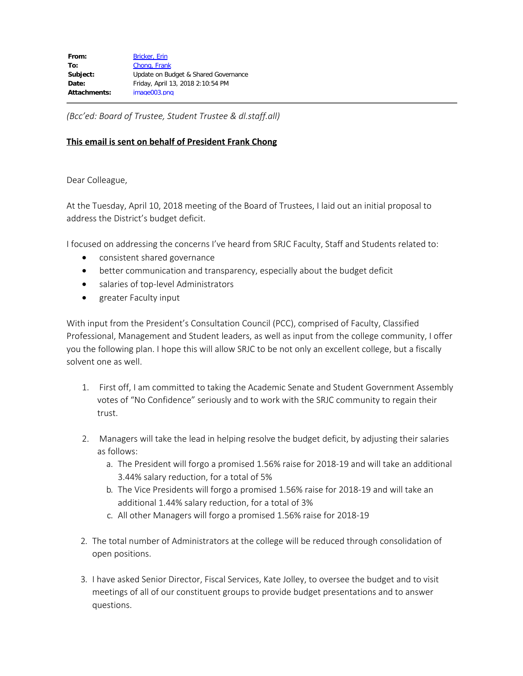*(Bcc'ed: Board of Trustee, Student Trustee & dl.staff.all)*

## **This email is sent on behalf of President Frank Chong**

Dear Colleague,

At the Tuesday, April 10, 2018 meeting of the Board of Trustees, I laid out an initial proposal to address the District's budget deficit.

I focused on addressing the concerns I've heard from SRJC Faculty, Staff and Students related to:

- · consistent shared governance
- · better communication and transparency, especially about the budget deficit
- · salaries of top-level Administrators
- · greater Faculty input

With input from the President's Consultation Council (PCC), comprised of Faculty, Classified Professional, Management and Student leaders, as well as input from the college community, I offer you the following plan. I hope this will allow SRJC to be not only an excellent college, but a fiscally solvent one as well.

- 1. First off, I am committed to taking the Academic Senate and Student Government Assembly votes of "No Confidence" seriously and to work with the SRJC community to regain their trust.
- 2. Managers will take the lead in helping resolve the budget deficit, by adjusting their salaries as follows:
	- a. The President will forgo a promised 1.56% raise for 2018-19 and will take an additional 3.44% salary reduction, for a total of 5%
	- b. The Vice Presidents will forgo a promised 1.56% raise for 2018-19 and will take an additional 1.44% salary reduction, for a total of 3%
	- c. All other Managers will forgo a promised 1.56% raise for 2018-19
- 2. The total number of Administrators at the college will be reduced through consolidation of open positions.
- 3. I have asked Senior Director, Fiscal Services, Kate Jolley, to oversee the budget and to visit meetings of all of our constituent groups to provide budget presentations and to answer questions.